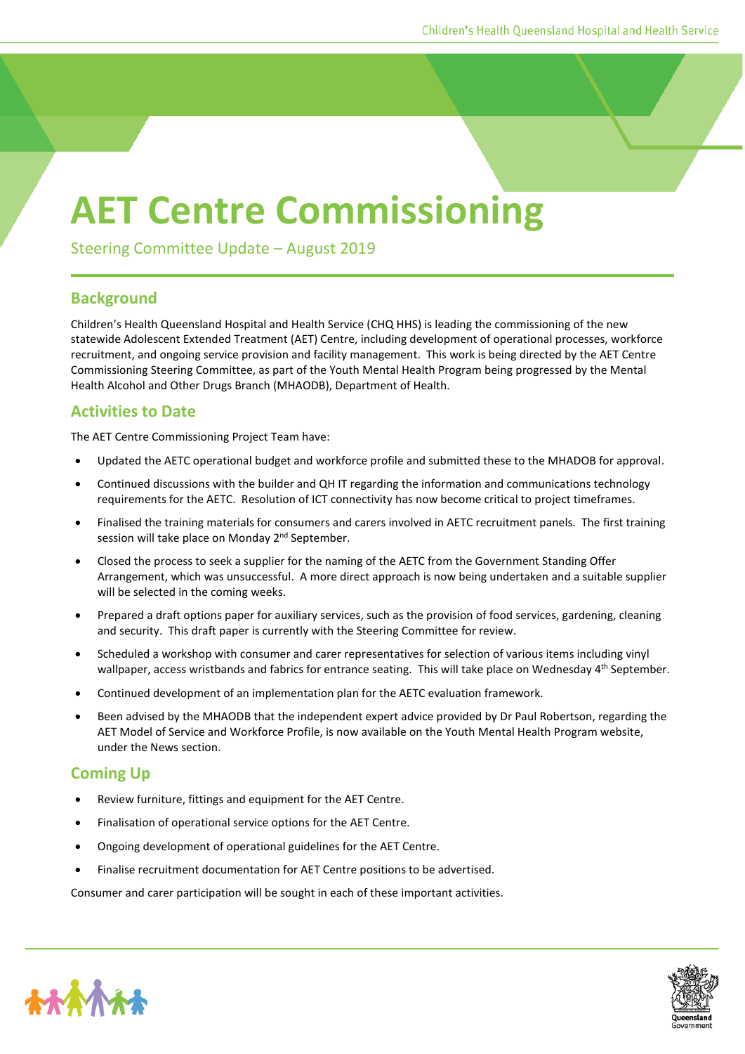## **AET Centre Commissioning**

Steering Committee Update – August 2019

## **Background**

Children's Health Queensland Hospital and Health Service (CHQ HHS) is leading the commissioning of the new statewide Adolescent Extended Treatment (AET) Centre, including development of operational processes, workforce recruitment, and ongoing service provision and facility management. This work is being directed by the AET Centre Commissioning Steering Committee, as part of the Youth Mental Health Program being progressed by the Mental Health Alcohol and Other Drugs Branch (MHAODB), Department of Health.

## **Activities to Date**

The AET Centre Commissioning Project Team have:

- Updated the AETC operational budget and workforce profile and submitted these to the MHADOB for approval.
- Continued discussions with the builder and QH IT regarding the information and communications technology requirements for the AETC. Resolution of ICT connectivity has now become critical to project timeframes.
- Finalised the training materials for consumers and carers involved in AETC recruitment panels. The first training session will take place on Monday 2<sup>nd</sup> September.
- Closed the process to seek a supplier for the naming of the AETC from the Government Standing Offer Arrangement, which was unsuccessful. A more direct approach is now being undertaken and a suitable supplier will be selected in the coming weeks.
- Prepared a draft options paper for auxiliary services, such as the provision of food services, gardening, cleaning and security. This draft paper is currently with the Steering Committee for review.
- Scheduled a workshop with consumer and carer representatives for selection of various items including vinyl wallpaper, access wristbands and fabrics for entrance seating. This will take place on Wednesday 4<sup>th</sup> September.
- Continued development of an implementation plan for the AETC evaluation framework.
- Been advised by the MHAODB that the independent expert advice provided by Dr Paul Robertson, regarding the AET Model of Service and Workforce Profile, is now available on the Youth Mental Health Program website, under the News section.

## **Coming Up**

- Review furniture, fittings and equipment for the AET Centre.
- Finalisation of operational service options for the AET Centre.
- Ongoing development of operational guidelines for the AET Centre.
- Finalise recruitment documentation for AET Centre positions to be advertised.

Consumer and carer participation will be sought in each of these important activities.